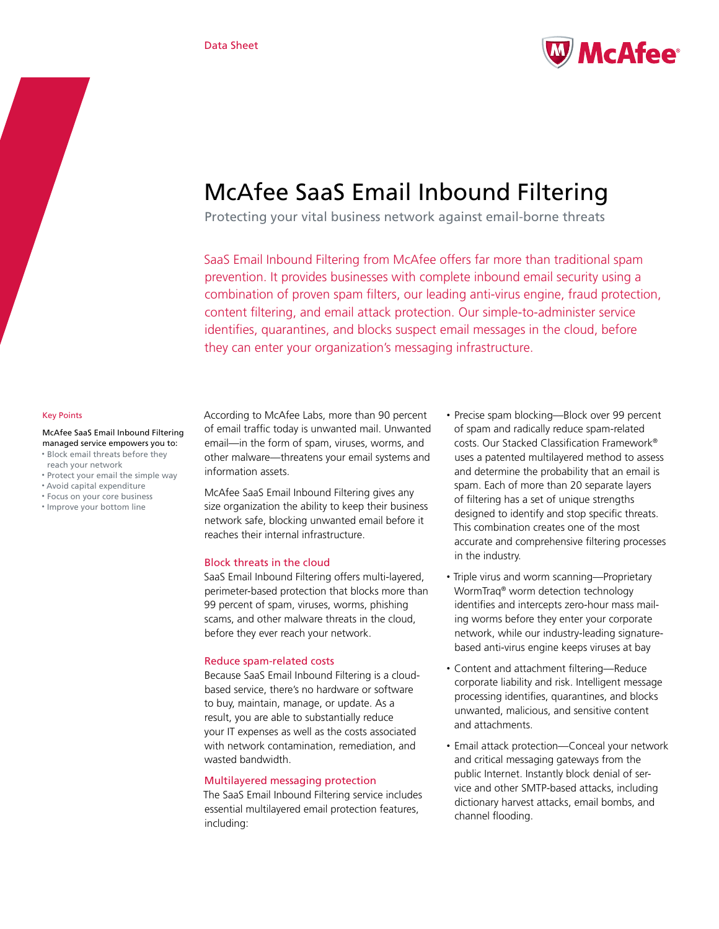

# McAfee SaaS Email Inbound Filtering

Protecting your vital business network against email-borne threats

SaaS Email Inbound Filtering from McAfee offers far more than traditional spam prevention. It provides businesses with complete inbound email security using a combination of proven spam filters, our leading anti-virus engine, fraud protection, content filtering, and email attack protection. Our simple-to-administer service identifies, quarantines, and blocks suspect email messages in the cloud, before they can enter your organization's messaging infrastructure.

#### Key Points

McAfee SaaS Email Inbound Filtering managed service empowers you to:

- • Block email threats before they reach your network
- • Protect your email the simple way
- • Avoid capital expenditure
- • Focus on your core business • Improve your bottom line

According to McAfee Labs, more than 90 percent of email traffic today is unwanted mail. Unwanted email—in the form of spam, viruses, worms, and other malware—threatens your email systems and information assets.

McAfee SaaS Email Inbound Filtering gives any size organization the ability to keep their business network safe, blocking unwanted email before it reaches their internal infrastructure.

# Block threats in the cloud

SaaS Email Inbound Filtering offers multi-layered, perimeter-based protection that blocks more than 99 percent of spam, viruses, worms, phishing scams, and other malware threats in the cloud, before they ever reach your network.

# Reduce spam-related costs

Because SaaS Email Inbound Filtering is a cloudbased service, there's no hardware or software to buy, maintain, manage, or update. As a result, you are able to substantially reduce your IT expenses as well as the costs associated with network contamination, remediation, and wasted bandwidth.

# Multilayered messaging protection

The SaaS Email Inbound Filtering service includes essential multilayered email protection features, including:

- Precise spam blocking—Block over 99 percent of spam and radically reduce spam-related costs. Our Stacked Classification Framework® uses a patented multilayered method to assess and determine the probability that an email is spam. Each of more than 20 separate layers of filtering has a set of unique strengths designed to identify and stop specific threats. This combination creates one of the most accurate and comprehensive filtering processes in the industry.
- • Triple virus and worm scanning—Proprietary WormTraq® worm detection technology identifies and intercepts zero-hour mass mailing worms before they enter your corporate network, while our industry-leading signaturebased anti-virus engine keeps viruses at bay
- Content and attachment filtering—Reduce corporate liability and risk. Intelligent message processing identifies, quarantines, and blocks unwanted, malicious, and sensitive content and attachments.
- Email attack protection—Conceal your network and critical messaging gateways from the public Internet. Instantly block denial of service and other SMTP-based attacks, including dictionary harvest attacks, email bombs, and channel flooding.